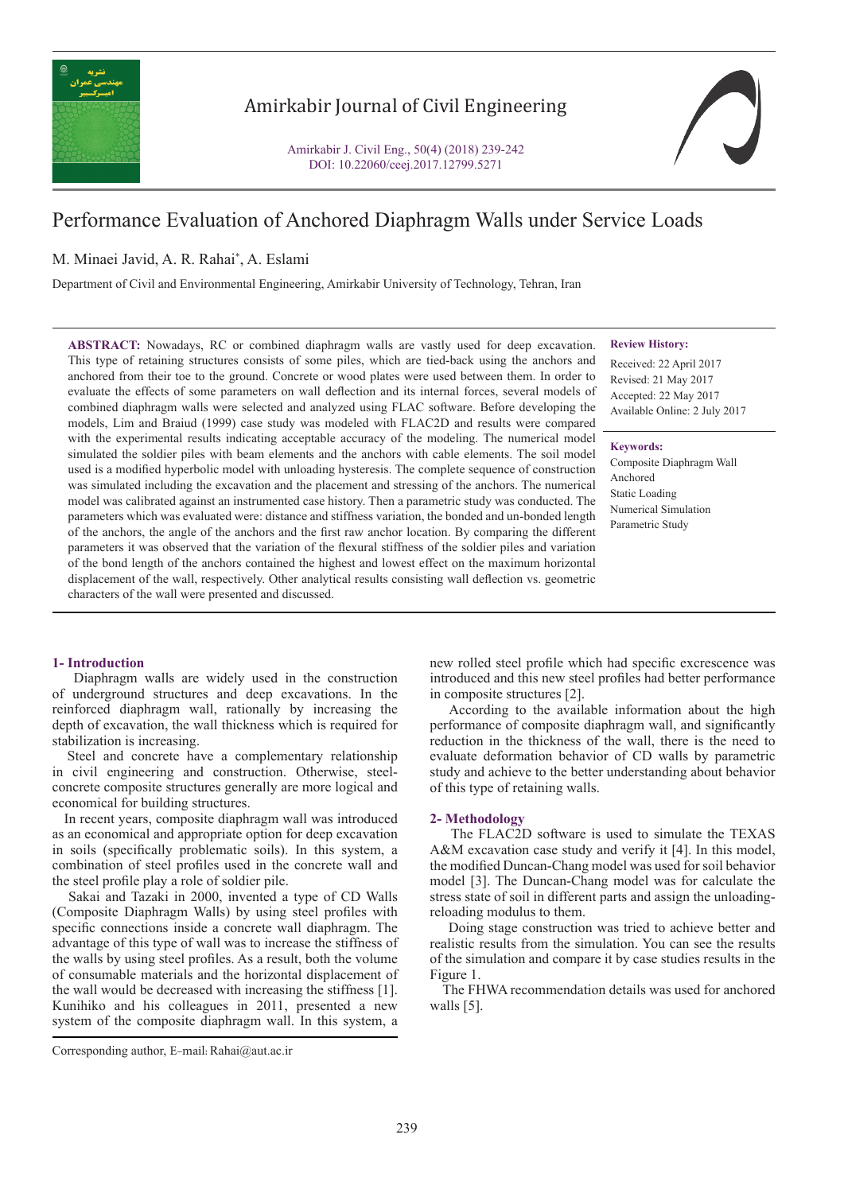

# Amirkabir Journal of Civil Engineering

Amirkabir J. Civil Eng., 50(4) (2018) 239-242 DOI: 10.22060/ceej.2017.12799.5271



# Performance Evaluation of Anchored Diaphragm Walls under Service Loads

# M. Minaei Javid, A. R. Rahai\* , A. Eslami

Department of Civil and Environmental Engineering, Amirkabir University of Technology, Tehran, Iran

**ABSTRACT:** Nowadays, RC or combined diaphragm walls are vastly used for deep excavation. This type of retaining structures consists of some piles, which are tied-back using the anchors and anchored from their toe to the ground. Concrete or wood plates were used between them. In order to evaluate the effects of some parameters on wall deflection and its internal forces, several models of combined diaphragm walls were selected and analyzed using FLAC software. Before developing the models, Lim and Braiud (1999) case study was modeled with FLAC2D and results were compared with the experimental results indicating acceptable accuracy of the modeling. The numerical model simulated the soldier piles with beam elements and the anchors with cable elements. The soil model used is a modified hyperbolic model with unloading hysteresis. The complete sequence of construction was simulated including the excavation and the placement and stressing of the anchors. The numerical model was calibrated against an instrumented case history. Then a parametric study was conducted. The parameters which was evaluated were: distance and stiffness variation, the bonded and un-bonded length of the anchors, the angle of the anchors and the first raw anchor location. By comparing the different parameters it was observed that the variation of the flexural stiffness of the soldier piles and variation of the bond length of the anchors contained the highest and lowest effect on the maximum horizontal displacement of the wall, respectively. Other analytical results consisting wall deflection vs. geometric characters of the wall were presented and discussed.

#### **Review History:**

Received: 22 April 2017 Revised: 21 May 2017 Accepted: 22 May 2017 Available Online: 2 July 2017

### **Keywords:**

Composite Diaphragm Wall Anchored Static Loading Numerical Simulation Parametric Study

## **1- Introduction**

 Diaphragm walls are widely used in the construction of underground structures and deep excavations. In the reinforced diaphragm wall, rationally by increasing the depth of excavation, the wall thickness which is required for stabilization is increasing.

 Steel and concrete have a complementary relationship in civil engineering and construction. Otherwise, steelconcrete composite structures generally are more logical and economical for building structures.

 In recent years, composite diaphragm wall was introduced as an economical and appropriate option for deep excavation in soils (specifically problematic soils). In this system, a combination of steel profiles used in the concrete wall and the steel profile play a role of soldier pile.

 Sakai and Tazaki in 2000, invented a type of CD Walls (Composite Diaphragm Walls) by using steel profiles with specific connections inside a concrete wall diaphragm. The advantage of this type of wall was to increase the stiffness of the walls by using steel profiles. As a result, both the volume of consumable materials and the horizontal displacement of the wall would be decreased with increasing the stiffness [1]. Kunihiko and his colleagues in 2011, presented a new system of the composite diaphragm wall. In this system, a new rolled steel profile which had specific excrescence was introduced and this new steel profiles had better performance in composite structures [2].

 According to the available information about the high performance of composite diaphragm wall, and significantly reduction in the thickness of the wall, there is the need to evaluate deformation behavior of CD walls by parametric study and achieve to the better understanding about behavior of this type of retaining walls.

#### **2- Methodology**

 The FLAC2D software is used to simulate the TEXAS A&M excavation case study and verify it [4]. In this model, the modified Duncan-Chang model was used for soil behavior model [3]. The Duncan-Chang model was for calculate the stress state of soil in different parts and assign the unloadingreloading modulus to them.

 Doing stage construction was tried to achieve better and realistic results from the simulation. You can see the results of the simulation and compare it by case studies results in the Figure 1.

 The FHWA recommendation details was used for anchored walls [5].

Corresponding author, E-mail: Rahai@aut.ac.ir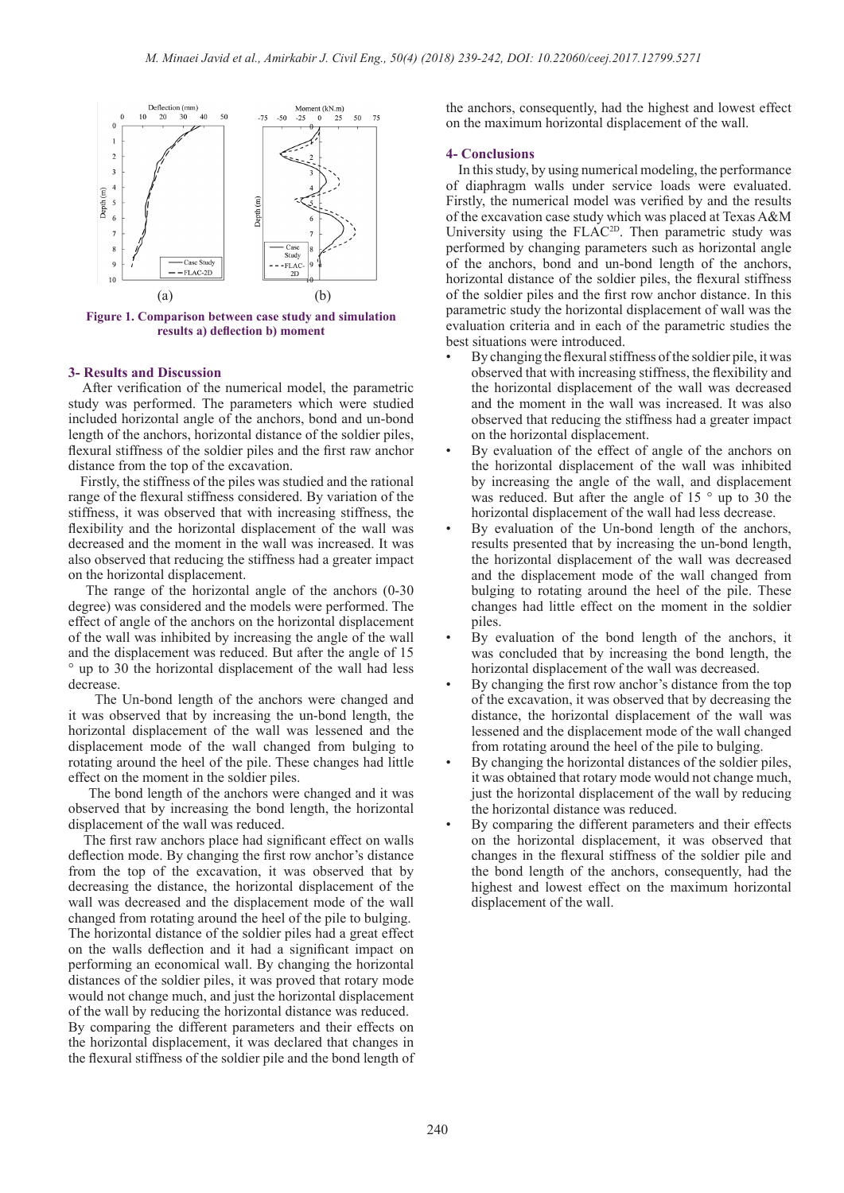

**Figure 1. Comparison between case study and simulation results a) deflection b) moment**

#### **3- Results and Discussion**

 After verification of the numerical model, the parametric study was performed. The parameters which were studied included horizontal angle of the anchors, bond and un-bond length of the anchors, horizontal distance of the soldier piles, flexural stiffness of the soldier piles and the first raw anchor distance from the top of the excavation.

 Firstly, the stiffness of the piles was studied and the rational range of the flexural stiffness considered. By variation of the stiffness, it was observed that with increasing stiffness, the flexibility and the horizontal displacement of the wall was decreased and the moment in the wall was increased. It was also observed that reducing the stiffness had a greater impact on the horizontal displacement.

 The range of the horizontal angle of the anchors (0-30 degree) was considered and the models were performed. The effect of angle of the anchors on the horizontal displacement of the wall was inhibited by increasing the angle of the wall and the displacement was reduced. But after the angle of 15 ° up to 30 the horizontal displacement of the wall had less decrease.

 The Un-bond length of the anchors were changed and it was observed that by increasing the un-bond length, the horizontal displacement of the wall was lessened and the displacement mode of the wall changed from bulging to rotating around the heel of the pile. These changes had little effect on the moment in the soldier piles.

 The bond length of the anchors were changed and it was observed that by increasing the bond length, the horizontal displacement of the wall was reduced.

 The first raw anchors place had significant effect on walls deflection mode. By changing the first row anchor's distance from the top of the excavation, it was observed that by decreasing the distance, the horizontal displacement of the wall was decreased and the displacement mode of the wall changed from rotating around the heel of the pile to bulging. The horizontal distance of the soldier piles had a great effect on the walls deflection and it had a significant impact on performing an economical wall. By changing the horizontal distances of the soldier piles, it was proved that rotary mode would not change much, and just the horizontal displacement of the wall by reducing the horizontal distance was reduced. By comparing the different parameters and their effects on the horizontal displacement, it was declared that changes in the flexural stiffness of the soldier pile and the bond length of the anchors, consequently, had the highest and lowest effect on the maximum horizontal displacement of the wall.

#### **4- Conclusions**

 In this study, by using numerical modeling, the performance of diaphragm walls under service loads were evaluated. Firstly, the numerical model was verified by and the results of the excavation case study which was placed at Texas A&M University using the FLAC<sup>2D</sup>. Then parametric study was performed by changing parameters such as horizontal angle of the anchors, bond and un-bond length of the anchors, horizontal distance of the soldier piles, the flexural stiffness of the soldier piles and the first row anchor distance. In this parametric study the horizontal displacement of wall was the evaluation criteria and in each of the parametric studies the best situations were introduced.

- By changing the flexural stiffness of the soldier pile, it was observed that with increasing stiffness, the flexibility and the horizontal displacement of the wall was decreased and the moment in the wall was increased. It was also observed that reducing the stiffness had a greater impact on the horizontal displacement.
- By evaluation of the effect of angle of the anchors on the horizontal displacement of the wall was inhibited by increasing the angle of the wall, and displacement was reduced. But after the angle of 15 ° up to 30 the horizontal displacement of the wall had less decrease.
- By evaluation of the Un-bond length of the anchors, results presented that by increasing the un-bond length, the horizontal displacement of the wall was decreased and the displacement mode of the wall changed from bulging to rotating around the heel of the pile. These changes had little effect on the moment in the soldier piles.
- By evaluation of the bond length of the anchors, it was concluded that by increasing the bond length, the horizontal displacement of the wall was decreased.
- By changing the first row anchor's distance from the top of the excavation, it was observed that by decreasing the distance, the horizontal displacement of the wall was lessened and the displacement mode of the wall changed from rotating around the heel of the pile to bulging.
- By changing the horizontal distances of the soldier piles, it was obtained that rotary mode would not change much, just the horizontal displacement of the wall by reducing the horizontal distance was reduced.
- By comparing the different parameters and their effects on the horizontal displacement, it was observed that changes in the flexural stiffness of the soldier pile and the bond length of the anchors, consequently, had the highest and lowest effect on the maximum horizontal displacement of the wall.